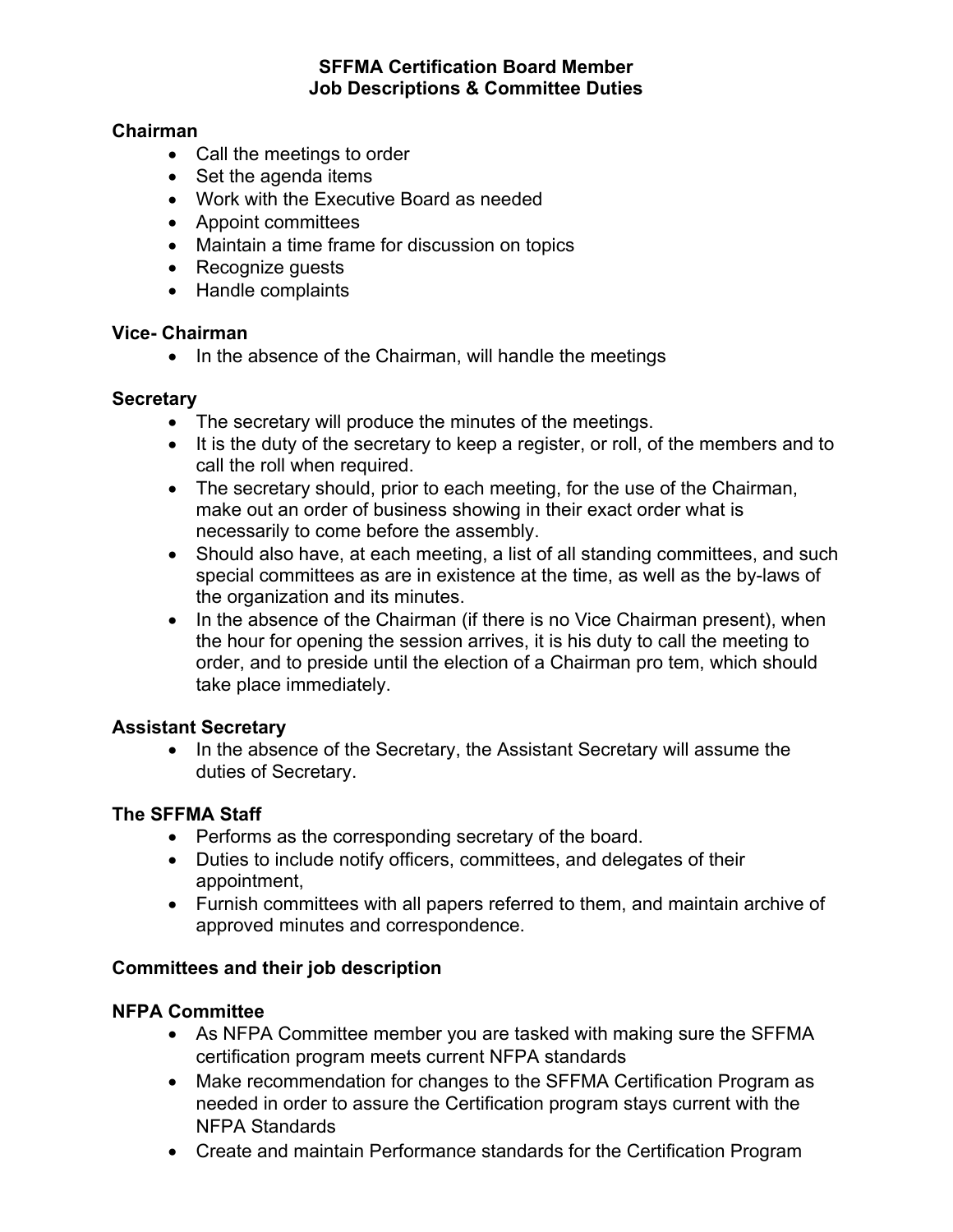### **SFFMA Certification Board Member Job Descriptions & Committee Duties**

#### **Chairman**

- Call the meetings to order
- Set the agenda items
- Work with the Executive Board as needed
- Appoint committees
- Maintain a time frame for discussion on topics
- Recognize guests
- Handle complaints

#### **Vice- Chairman**

• In the absence of the Chairman, will handle the meetings

### **Secretary**

- The secretary will produce the minutes of the meetings.
- It is the duty of the secretary to keep a register, or roll, of the members and to call the roll when required.
- The secretary should, prior to each meeting, for the use of the Chairman, make out an order of business showing in their exact order what is necessarily to come before the assembly.
- Should also have, at each meeting, a list of all standing committees, and such special committees as are in existence at the time, as well as the by-laws of the organization and its minutes.
- In the absence of the Chairman (if there is no Vice Chairman present), when the hour for opening the session arrives, it is his duty to call the meeting to order, and to preside until the election of a Chairman pro tem, which should take place immediately.

# **Assistant Secretary**

• In the absence of the Secretary, the Assistant Secretary will assume the duties of Secretary.

# **The SFFMA Staff**

- Performs as the corresponding secretary of the board.
- Duties to include notify officers, committees, and delegates of their appointment,
- Furnish committees with all papers referred to them, and maintain archive of approved minutes and correspondence.

# **Committees and their job description**

#### **NFPA Committee**

- As NFPA Committee member you are tasked with making sure the SFFMA certification program meets current NFPA standards
- Make recommendation for changes to the SFFMA Certification Program as needed in order to assure the Certification program stays current with the NFPA Standards
- Create and maintain Performance standards for the Certification Program